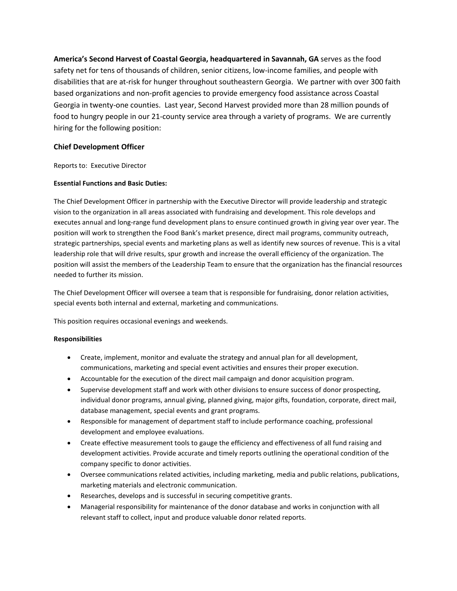**America's Second Harvest of Coastal Georgia, headquartered in Savannah, GA** serves as the food safety net for tens of thousands of children, senior citizens, low-income families, and people with disabilities that are at-risk for hunger throughout southeastern Georgia. We partner with over 300 faith based organizations and non-profit agencies to provide emergency food assistance across Coastal Georgia in twenty-one counties. Last year, Second Harvest provided more than 28 million pounds of food to hungry people in our 21-county service area through a variety of programs. We are currently hiring for the following position:

# **Chief Development Officer**

Reports to: Executive Director

# **Essential Functions and Basic Duties:**

The Chief Development Officer in partnership with the Executive Director will provide leadership and strategic vision to the organization in all areas associated with fundraising and development. This role develops and executes annual and long-range fund development plans to ensure continued growth in giving year over year. The position will work to strengthen the Food Bank's market presence, direct mail programs, community outreach, strategic partnerships, special events and marketing plans as well as identify new sources of revenue. This is a vital leadership role that will drive results, spur growth and increase the overall efficiency of the organization. The position will assist the members of the Leadership Team to ensure that the organization has the financial resources needed to further its mission.

The Chief Development Officer will oversee a team that is responsible for fundraising, donor relation activities, special events both internal and external, marketing and communications.

This position requires occasional evenings and weekends.

### **Responsibilities**

- Create, implement, monitor and evaluate the strategy and annual plan for all development, communications, marketing and special event activities and ensures their proper execution.
- Accountable for the execution of the direct mail campaign and donor acquisition program.
- Supervise development staff and work with other divisions to ensure success of donor prospecting, individual donor programs, annual giving, planned giving, major gifts, foundation, corporate, direct mail, database management, special events and grant programs.
- Responsible for management of department staff to include performance coaching, professional development and employee evaluations.
- Create effective measurement tools to gauge the efficiency and effectiveness of all fund raising and development activities. Provide accurate and timely reports outlining the operational condition of the company specific to donor activities.
- Oversee communications related activities, including marketing, media and public relations, publications, marketing materials and electronic communication.
- Researches, develops and is successful in securing competitive grants.
- Managerial responsibility for maintenance of the donor database and works in conjunction with all relevant staff to collect, input and produce valuable donor related reports.